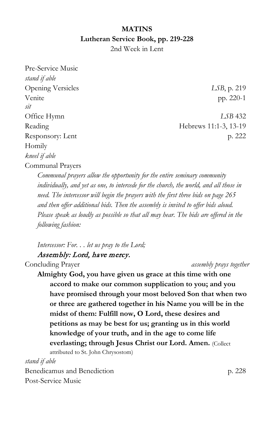## **MATINS Lutheran Service Book, pp. 219-228**

2nd Week in Lent

Pre-Service Music *stand if able* Opening Versicles *LSB*, p. 219 Venite pp. 220-1 *sit* Office Hymn *LSB* 432 Reading Hebrews 11:1-3, 13-19 Responsory: Lent p. 222 Homily *kneel if able* Communal Prayers

*Communal prayers allow the opportunity for the entire seminary community individually, and yet as one, to intercede for the church, the world, and all those in need. The intercessor will begin the prayers with the first three bids on page 265 and then offer additional bids. Then the assembly is invited to offer bids aloud. Please speak as loudly as possible so that all may hear. The bids are offered in the following fashion:*

*Intercessor: For. . . let us pray to the Lord;*

## Assembly: Lord, have mercy.

Concluding Prayer *assembly prays together*

**Almighty God, you have given us grace at this time with one accord to make our common supplication to you; and you have promised through your most beloved Son that when two or three are gathered together in his Name you will be in the midst of them: Fulfill now, O Lord, these desires and petitions as may be best for us; granting us in this world knowledge of your truth, and in the age to come life everlasting; through Jesus Christ our Lord. Amen.** (Collect attributed to St. John Chrysostom)

*stand if able*

Benedicamus and Benediction p. 228 Post-Service Music